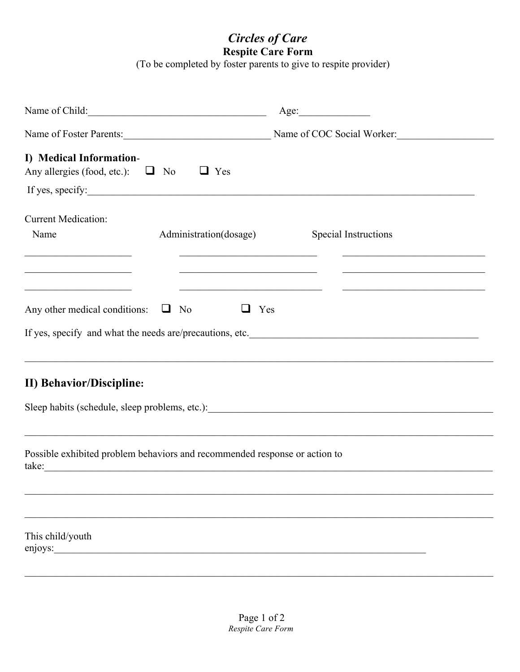## **Circles of Care**

**Respite Care Form**<br>(To be completed by foster parents to give to respite provider)

| Name of Child:                                                                                         |                                                                                                       | Age:                                                                                                              |  |
|--------------------------------------------------------------------------------------------------------|-------------------------------------------------------------------------------------------------------|-------------------------------------------------------------------------------------------------------------------|--|
|                                                                                                        |                                                                                                       | Name of Foster Parents: Name of COC Social Worker:                                                                |  |
| I) Medical Information-<br>Any allergies (food, etc.): $\Box$ No                                       | $\Box$ Yes                                                                                            |                                                                                                                   |  |
|                                                                                                        |                                                                                                       | If yes, specify:                                                                                                  |  |
| <b>Current Medication:</b><br>Name                                                                     | Administration(dosage)                                                                                | Special Instructions<br>the control of the control of the control of the control of the control of the control of |  |
| <u> 1989 - Johann John Stein, market fransk politiker (</u><br>Any other medical conditions: $\Box$ No | the control of the control of the control of the control of the control of the control of<br>❏<br>Yes |                                                                                                                   |  |
| <b>II) Behavior/Discipline:</b>                                                                        |                                                                                                       |                                                                                                                   |  |
| Possible exhibited problem behaviors and recommended response or action to<br>take:                    |                                                                                                       | ,我们也不能在这里的时候,我们也不能在这里的时候,我们也不能在这里的时候,我们也不能会不能在这里的时候,我们也不能会不能会不能会不能会不能会不能会不能会不能会不                                  |  |
|                                                                                                        |                                                                                                       |                                                                                                                   |  |
|                                                                                                        |                                                                                                       |                                                                                                                   |  |
| This child/youth<br>enjoys:                                                                            |                                                                                                       |                                                                                                                   |  |